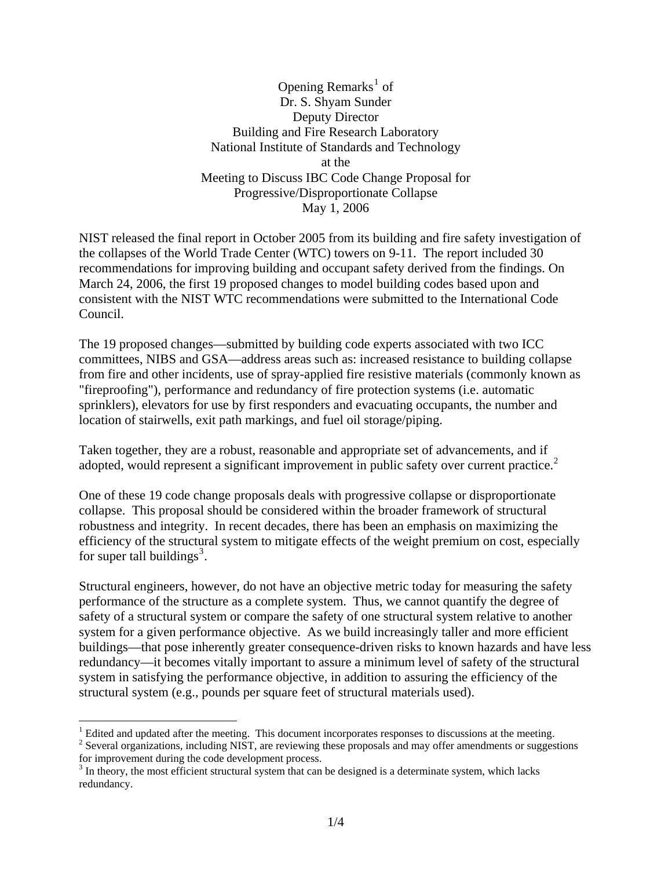Opening Remarks<sup>[1](#page-0-0)</sup> of Dr. S. Shyam Sunder Deputy Director Building and Fire Research Laboratory National Institute of Standards and Technology at the Meeting to Discuss IBC Code Change Proposal for Progressive/Disproportionate Collapse May 1, 2006

NIST released the final report in October 2005 from its building and fire safety investigation of the collapses of the World Trade Center (WTC) towers on 9-11. The report included 30 recommendations for improving building and occupant safety derived from the findings. On March 24, 2006, the first 19 proposed changes to model building codes based upon and consistent with the NIST WTC recommendations were submitted to the International Code Council.

The 19 proposed changes—submitted by building code experts associated with two ICC committees, NIBS and GSA—address areas such as: increased resistance to building collapse from fire and other incidents, use of spray-applied fire resistive materials (commonly known as "fireproofing"), performance and redundancy of fire protection systems (i.e. automatic sprinklers), elevators for use by first responders and evacuating occupants, the number and location of stairwells, exit path markings, and fuel oil storage/piping.

Taken together, they are a robust, reasonable and appropriate set of advancements, and if adopted, would represent a significant improvement in public safety over current practice.<sup>[2](#page-0-1)</sup>

One of these 19 code change proposals deals with progressive collapse or disproportionate collapse. This proposal should be considered within the broader framework of structural robustness and integrity. In recent decades, there has been an emphasis on maximizing the efficiency of the structural system to mitigate effects of the weight premium on cost, especially for super tall buildings<sup>[3](#page-0-2)</sup>.

Structural engineers, however, do not have an objective metric today for measuring the safety performance of the structure as a complete system. Thus, we cannot quantify the degree of safety of a structural system or compare the safety of one structural system relative to another system for a given performance objective. As we build increasingly taller and more efficient buildings—that pose inherently greater consequence-driven risks to known hazards and have less redundancy—it becomes vitally important to assure a minimum level of safety of the structural system in satisfying the performance objective, in addition to assuring the efficiency of the structural system (e.g., pounds per square feet of structural materials used).

 $\overline{a}$ 

<span id="page-0-1"></span><sup>2</sup> Several organizations, including NIST, are reviewing these proposals and may offer amendments or suggestions for improvement during the code development process.

<span id="page-0-0"></span><sup>&</sup>lt;sup>1</sup> Edited and updated after the meeting. This document incorporates responses to discussions at the meeting.  $\frac{2}{3}$  Soveral organizations, including NIST, are reviewing these proposals and may offer emandments or sugg

<span id="page-0-2"></span> $3$  In theory, the most efficient structural system that can be designed is a determinate system, which lacks redundancy.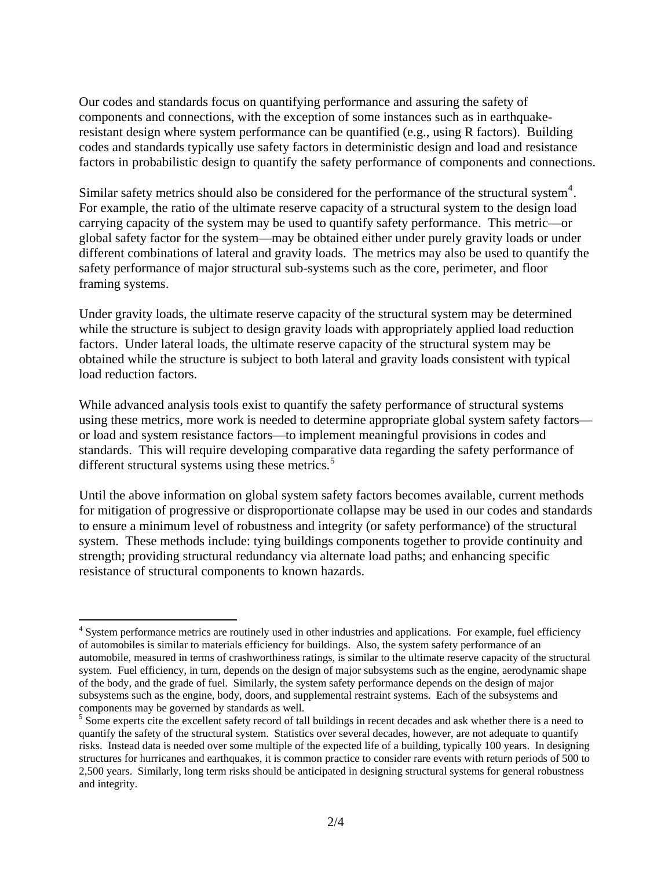Our codes and standards focus on quantifying performance and assuring the safety of components and connections, with the exception of some instances such as in earthquakeresistant design where system performance can be quantified (e.g., using R factors). Building codes and standards typically use safety factors in deterministic design and load and resistance factors in probabilistic design to quantify the safety performance of components and connections.

Similar safety metrics should also be considered for the performance of the structural system<sup>[4](#page-1-0)</sup>. For example, the ratio of the ultimate reserve capacity of a structural system to the design load carrying capacity of the system may be used to quantify safety performance. This metric—or global safety factor for the system—may be obtained either under purely gravity loads or under different combinations of lateral and gravity loads. The metrics may also be used to quantify the safety performance of major structural sub-systems such as the core, perimeter, and floor framing systems.

Under gravity loads, the ultimate reserve capacity of the structural system may be determined while the structure is subject to design gravity loads with appropriately applied load reduction factors. Under lateral loads, the ultimate reserve capacity of the structural system may be obtained while the structure is subject to both lateral and gravity loads consistent with typical load reduction factors.

While advanced analysis tools exist to quantify the safety performance of structural systems using these metrics, more work is needed to determine appropriate global system safety factors or load and system resistance factors—to implement meaningful provisions in codes and standards. This will require developing comparative data regarding the safety performance of different structural systems using these metrics. $5$ 

Until the above information on global system safety factors becomes available, current methods for mitigation of progressive or disproportionate collapse may be used in our codes and standards to ensure a minimum level of robustness and integrity (or safety performance) of the structural system. These methods include: tying buildings components together to provide continuity and strength; providing structural redundancy via alternate load paths; and enhancing specific resistance of structural components to known hazards.

 $\overline{a}$ 

<span id="page-1-0"></span><sup>&</sup>lt;sup>4</sup> System performance metrics are routinely used in other industries and applications. For example, fuel efficiency of automobiles is similar to materials efficiency for buildings. Also, the system safety performance of an automobile, measured in terms of crashworthiness ratings, is similar to the ultimate reserve capacity of the structural system. Fuel efficiency, in turn, depends on the design of major subsystems such as the engine, aerodynamic shape of the body, and the grade of fuel. Similarly, the system safety performance depends on the design of major subsystems such as the engine, body, doors, and supplemental restraint systems. Each of the subsystems and components may be governed by standards as well.

<span id="page-1-1"></span><sup>&</sup>lt;sup>5</sup> Some experts cite the excellent safety record of tall buildings in recent decades and ask whether there is a need to quantify the safety of the structural system. Statistics over several decades, however, are not adequate to quantify risks. Instead data is needed over some multiple of the expected life of a building, typically 100 years. In designing structures for hurricanes and earthquakes, it is common practice to consider rare events with return periods of 500 to 2,500 years. Similarly, long term risks should be anticipated in designing structural systems for general robustness and integrity.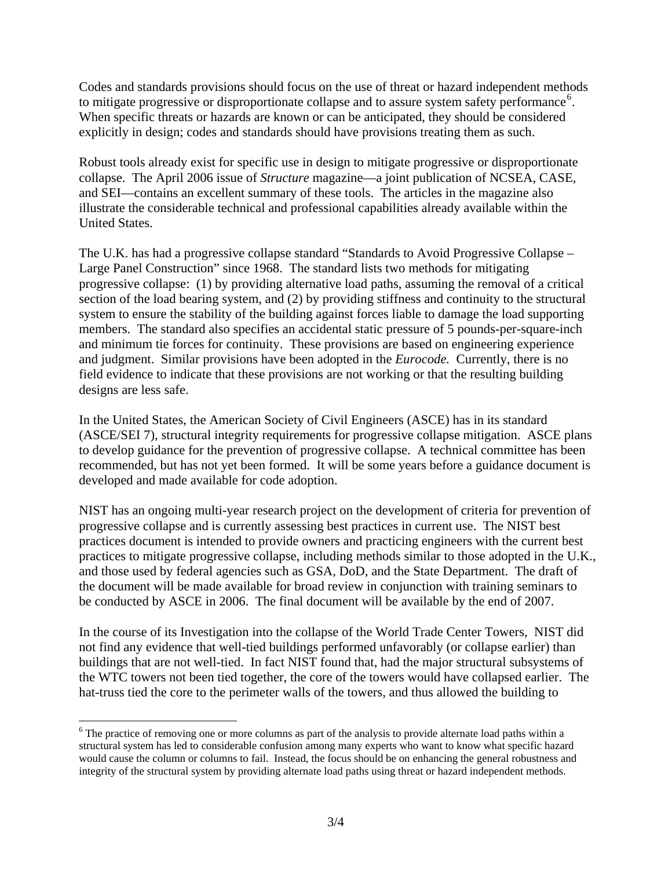Codes and standards provisions should focus on the use of threat or hazard independent methods to mitigate progressive or disproportionate collapse and to assure system safety performance<sup>[6](#page-2-0)</sup>. When specific threats or hazards are known or can be anticipated, they should be considered explicitly in design; codes and standards should have provisions treating them as such.

Robust tools already exist for specific use in design to mitigate progressive or disproportionate collapse. The April 2006 issue of *Structure* magazine—a joint publication of NCSEA, CASE, and SEI—contains an excellent summary of these tools. The articles in the magazine also illustrate the considerable technical and professional capabilities already available within the United States.

The U.K. has had a progressive collapse standard "Standards to Avoid Progressive Collapse – Large Panel Construction" since 1968. The standard lists two methods for mitigating progressive collapse: (1) by providing alternative load paths, assuming the removal of a critical section of the load bearing system, and (2) by providing stiffness and continuity to the structural system to ensure the stability of the building against forces liable to damage the load supporting members. The standard also specifies an accidental static pressure of 5 pounds-per-square-inch and minimum tie forces for continuity. These provisions are based on engineering experience and judgment. Similar provisions have been adopted in the *Eurocode.* Currently, there is no field evidence to indicate that these provisions are not working or that the resulting building designs are less safe.

In the United States, the American Society of Civil Engineers (ASCE) has in its standard (ASCE/SEI 7), structural integrity requirements for progressive collapse mitigation. ASCE plans to develop guidance for the prevention of progressive collapse. A technical committee has been recommended, but has not yet been formed. It will be some years before a guidance document is developed and made available for code adoption.

NIST has an ongoing multi-year research project on the development of criteria for prevention of progressive collapse and is currently assessing best practices in current use. The NIST best practices document is intended to provide owners and practicing engineers with the current best practices to mitigate progressive collapse, including methods similar to those adopted in the U.K., and those used by federal agencies such as GSA, DoD, and the State Department. The draft of the document will be made available for broad review in conjunction with training seminars to be conducted by ASCE in 2006. The final document will be available by the end of 2007.

In the course of its Investigation into the collapse of the World Trade Center Towers, NIST did not find any evidence that well-tied buildings performed unfavorably (or collapse earlier) than buildings that are not well-tied. In fact NIST found that, had the major structural subsystems of the WTC towers not been tied together, the core of the towers would have collapsed earlier. The hat-truss tied the core to the perimeter walls of the towers, and thus allowed the building to

 $\overline{a}$ 

<span id="page-2-0"></span><sup>&</sup>lt;sup>6</sup> The practice of removing one or more columns as part of the analysis to provide alternate load paths within a structural system has led to considerable confusion among many experts who want to know what specific hazard would cause the column or columns to fail. Instead, the focus should be on enhancing the general robustness and integrity of the structural system by providing alternate load paths using threat or hazard independent methods.